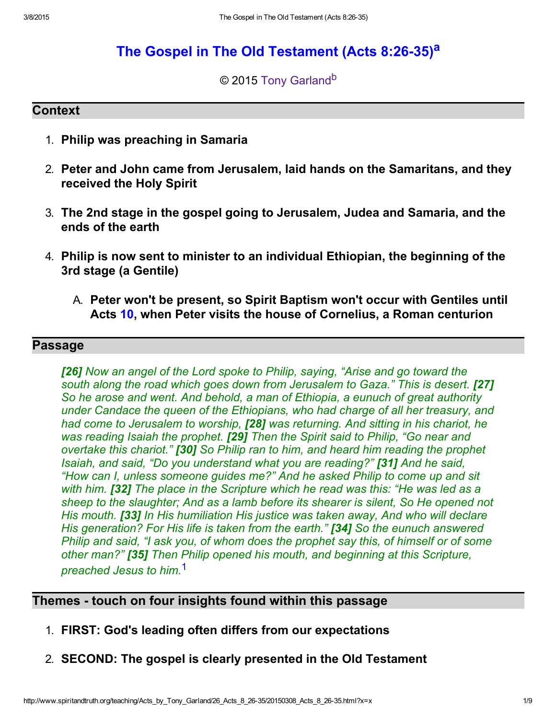# The Gospel in The Old Test[a](#page-8-1)ment (Acts 8:26-35)<sup>a</sup>

#### <span id="page-0-2"></span><span id="page-0-1"></span>© 2015 [Tony Garland](http://www.spiritandtruth.org/id/tg.htm)<sup>[b](#page-8-0)</sup>

#### **Context**

- 1. Philip was preaching in Samaria
- 2. Peter and John came from Jerusalem, laid hands on the Samaritans, and they received the Holy Spirit
- 3. The 2nd stage in the gospel going to Jerusalem, Judea and Samaria, and the ends of the earth
- 4. Philip is now sent to minister to an individual Ethiopian, the beginning of the 3rd stage (a Gentile)
	- A. Peter won't be present, so Spirit Baptism won't occur with Gentiles until Acts [10,](http://www.spiritandtruth.org/bibles/nasb/b44c010.htm#Acts_C10V1) when Peter visits the house of Cornelius, a Roman centurion

### Passage

[26] Now an angel of the Lord spoke to Philip, saying, "Arise and go toward the south along the road which goes down from Jerusalem to Gaza." This is desert. [27] So he arose and went. And behold, a man of Ethiopia, a eunuch of great authority under Candace the queen of the Ethiopians, who had charge of all her treasury, and had come to Jerusalem to worship, [28] was returning. And sitting in his chariot, he was reading Isaiah the prophet. [29] Then the Spirit said to Philip, "Go near and overtake this chariot." [30] So Philip ran to him, and heard him reading the prophet Isaiah, and said, "Do you understand what you are reading?" [31] And he said, "How can I, unless someone guides me?" And he asked Philip to come up and sit with him. **[32]** The place in the Scripture which he read was this: "He was led as a sheep to the slaughter; And as a lamb before its shearer is silent, So He opened not His mouth. **[33]** In His humiliation His justice was taken away, And who will declare His generation? For His life is taken from the earth." **[34]** So the eunuch answered Philip and said, "I ask you, of whom does the prophet say this, of himself or of some other man?" **[35]** Then Philip opened his mouth, and beginning at this Scripture, preached Jesus to him.<sup>[1](#page-7-0)</sup>

#### Themes - touch on four insights found within this passage

- <span id="page-0-0"></span>1. FIRST: God's leading often differs from our expectations
- 2. SECOND: The gospel is clearly presented in the Old Testament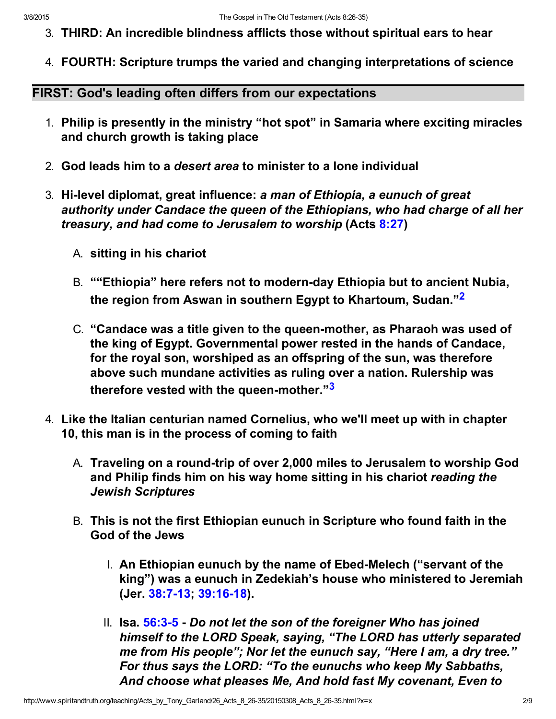- 3. THIRD: An incredible blindness afflicts those without spiritual ears to hear
- 4. FOURTH: Scripture trumps the varied and changing interpretations of science

FIRST: God's leading often differs from our expectations

- 1. Philip is presently in the ministry "hot spot" in Samaria where exciting miracles and church growth is taking place
- 2. God leads him to a desert area to minister to a lone individual
- <span id="page-1-0"></span>3. Hi-level diplomat, great influence: a man of Ethiopia, a eunuch of great authority under Candace the queen of the Ethiopians, who had charge of all her treasury, and had come to Jerusalem to worship (Acts [8:27\)](http://www.spiritandtruth.org/bibles/nasb/b44c008.htm#Acts_C8V27)
	- A. sitting in his chariot
	- B. ""Ethiopia" here refers not to modern-day Ethiopia but to ancient Nubia, the region from Aswan in southern Egypt to Khartoum, Sudan."<sup>[2](#page-7-1)</sup>
	- C. "Candace was a title given to the queen-mother, as Pharaoh was used of the king of Egypt. Governmental power rested in the hands of Candace, for the royal son, worshiped as an offspring of the sun, was therefore above such mundane activities as ruling over a nation. Rulership was therefore vested with the queen-mother."<sup>[3](#page-7-2)</sup>
- <span id="page-1-1"></span>4. Like the Italian centurian named Cornelius, who we'll meet up with in chapter 10, this man is in the process of coming to faith
	- A. Traveling on a round-trip of over 2,000 miles to Jerusalem to worship God and Philip finds him on his way home sitting in his chariot reading the Jewish Scriptures
	- B. This is not the first Ethiopian eunuch in Scripture who found faith in the God of the Jews
		- I. An Ethiopian eunuch by the name of Ebed-Melech ("servant of the king") was a eunuch in Zedekiah's house who ministered to Jeremiah (Jer. 38:7-13; 39:16-18).
		- II. Isa.  $56:3-5$  Do not let the son of the foreigner Who has joined himself to the LORD Speak, saying, "The LORD has utterly separated me from His people"; Nor let the eunuch say, "Here I am, a dry tree." For thus says the LORD: "To the eunuchs who keep My Sabbaths, And choose what pleases Me, And hold fast My covenant, Even to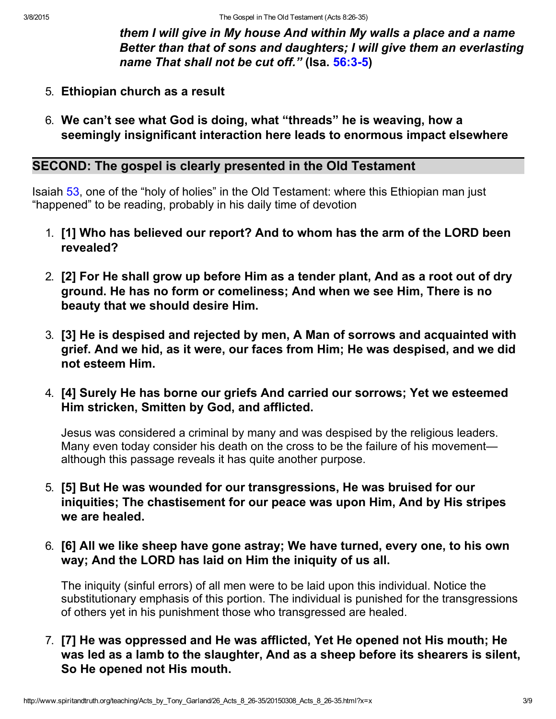them I will give in My house And within My walls a place and a name Better than that of sons and daughters; I will give them an everlasting name That shall not be cut off." (Isa. 56:3-5)

- 5. Ethiopian church as a result
- 6. We can't see what God is doing, what "threads" he is weaving, how a seemingly insignificant interaction here leads to enormous impact elsewhere

#### SECOND: The gospel is clearly presented in the Old Testament

Isaiah [53](http://www.spiritandtruth.org/bibles/nasb/b23c053.htm#Isa._C53V1), one of the "holy of holies" in the Old Testament: where this Ethiopian man just "happened" to be reading, probably in his daily time of devotion

- 1. [1] Who has believed our report? And to whom has the arm of the LORD been revealed?
- 2. [2] For He shall grow up before Him as a tender plant, And as a root out of dry ground. He has no form or comeliness; And when we see Him, There is no beauty that we should desire Him.
- 3. [3] He is despised and rejected by men, A Man of sorrows and acquainted with grief. And we hid, as it were, our faces from Him; He was despised, and we did not esteem Him.
- 4. [4] Surely He has borne our griefs And carried our sorrows; Yet we esteemed Him stricken, Smitten by God, and afflicted.

Jesus was considered a criminal by many and was despised by the religious leaders. Many even today consider his death on the cross to be the failure of his movement although this passage reveals it has quite another purpose.

- 5. [5] But He was wounded for our transgressions, He was bruised for our iniquities; The chastisement for our peace was upon Him, And by His stripes we are healed.
- 6. [6] All we like sheep have gone astray; We have turned, every one, to his own way; And the LORD has laid on Him the iniquity of us all.

The iniquity (sinful errors) of all men were to be laid upon this individual. Notice the substitutionary emphasis of this portion. The individual is punished for the transgressions of others yet in his punishment those who transgressed are healed.

7. [7] He was oppressed and He was afflicted, Yet He opened not His mouth; He was led as a lamb to the slaughter, And as a sheep before its shearers is silent, So He opened not His mouth.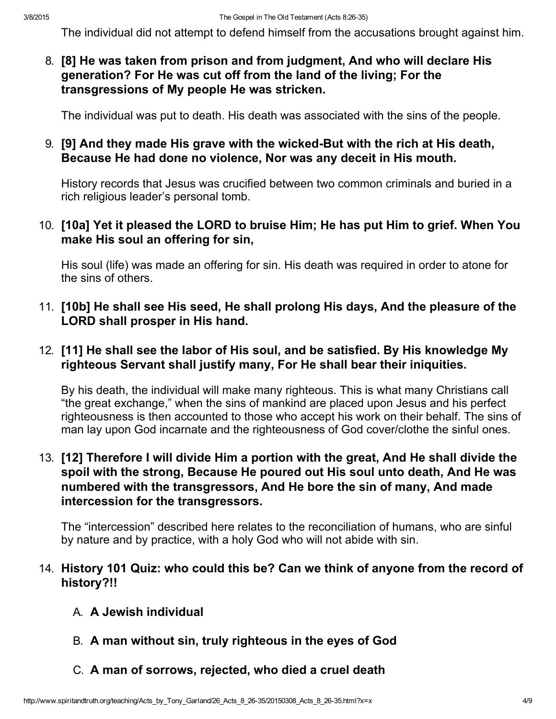The individual did not attempt to defend himself from the accusations brought against him.

8. [8] He was taken from prison and from judgment, And who will declare His generation? For He was cut off from the land of the living; For the transgressions of My people He was stricken.

The individual was put to death. His death was associated with the sins of the people.

### 9. [9] And they made His grave with the wicked-But with the rich at His death, Because He had done no violence, Nor was any deceit in His mouth.

History records that Jesus was crucified between two common criminals and buried in a rich religious leader's personal tomb.

### 10. [10a] Yet it pleased the LORD to bruise Him; He has put Him to grief. When You make His soul an offering for sin,

His soul (life) was made an offering for sin. His death was required in order to atone for the sins of others.

11. [10b] He shall see His seed, He shall prolong His days, And the pleasure of the LORD shall prosper in His hand.

### 12. [11] He shall see the labor of His soul, and be satisfied. By His knowledge My righteous Servant shall justify many, For He shall bear their iniquities.

By his death, the individual will make many righteous. This is what many Christians call "the great exchange," when the sins of mankind are placed upon Jesus and his perfect righteousness is then accounted to those who accept his work on their behalf. The sins of man lay upon God incarnate and the righteousness of God cover/clothe the sinful ones.

## 13. [12] Therefore I will divide Him a portion with the great, And He shall divide the spoil with the strong, Because He poured out His soul unto death, And He was numbered with the transgressors, And He bore the sin of many, And made intercession for the transgressors.

The "intercession" described here relates to the reconciliation of humans, who are sinful by nature and by practice, with a holy God who will not abide with sin.

#### 14. History 101 Quiz: who could this be? Can we think of anyone from the record of history?!!

- A. A Jewish individual
- B. A man without sin, truly righteous in the eyes of God
- C. A man of sorrows, rejected, who died a cruel death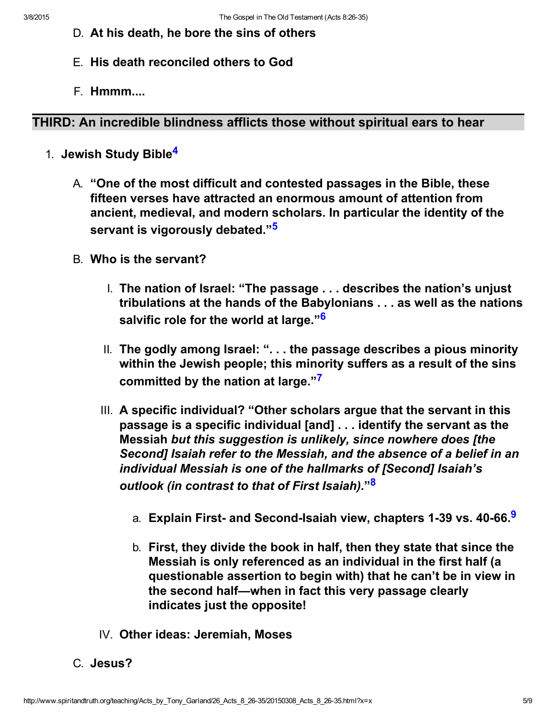- D. At his death, he bore the sins of others
- E. His death reconciled others to God
- <span id="page-4-1"></span>F. Hmmm....

## THIRD: An incredible blindness afflicts those without spiritual ears to hear

- <span id="page-4-4"></span><span id="page-4-2"></span><span id="page-4-0"></span>1. Jewish Study Bible<sup>[4](#page-7-6)</sup>
	- A. "One of the most difficult and contested passages in the Bible, these fifteen verses have attracted an enormous amount of attention from ancient, medieval, and modern scholars. In particular the identity of the servant is vigorously debated."<sup>[5](#page-7-8)</sup>
	- B. Who is the servant?
		- I. The nation of Israel: "The passage . . . describes the nation's unjust tribulations at the hands of the Babylonians . . . as well as the nations salvific role for the world at large."<sup>[6](#page-7-4)</sup>
		- II. The godly among Israel: ". . . the passage describes a pious minority within the Jewish people; this minority suffers as a result of the sins committed by the nation at large."[7](#page-7-7)
		- III. A specific individual? "Other scholars argue that the servant in this passage is a specific individual [and] . . . identify the servant as the Messiah but this suggestion is unlikely, since nowhere does [the Second] Isaiah refer to the Messiah, and the absence of a belief in an individual Messiah is one of the hallmarks of [Second] Isaiah's outlook (in contrast to that of First Isaiah)." $^{\bf 3}$ 
			- a. Explain First- and Second-Isaiah view, chapters 1-3[9](#page-7-5) vs. 40-66.<sup>9</sup>
			- b. First, they divide the book in half, then they state that since the Messiah is only referenced as an individual in the first half (a questionable assertion to begin with) that he can't be in view in the second half—when in fact this very passage clearly indicates just the opposite!
		- IV. Other ideas: Jeremiah, Moses

<span id="page-4-5"></span><span id="page-4-3"></span>C. Jesus?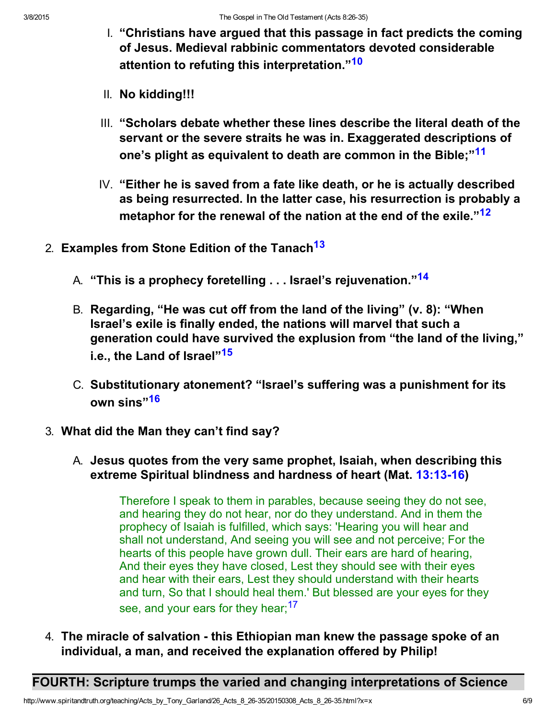- <span id="page-5-0"></span>I. "Christians have argued that this passage in fact predicts the coming of Jesus. Medieval rabbinic commentators devoted considerable attention to refuting this interpretation."<sup>[10](#page-7-12)</sup>
- II. No kidding!!!
- <span id="page-5-3"></span>III. "Scholars debate whether these lines describe the literal death of the servant or the severe straits he was in. Exaggerated descriptions of one's plight as equivalent to death are common in the Bible;"<sup>[11](#page-7-13)</sup>
- <span id="page-5-7"></span><span id="page-5-6"></span><span id="page-5-5"></span>IV. "Either he is saved from a fate like death, or he is actually described as being resurrected. In the latter case, his resurrection is probably a metaphor for the renewal of the nation at the end of the exile."<sup>[12](#page-7-14)</sup>
- 2. Examples from Stone Edition of the Tanach<sup>[13](#page-7-11)</sup>
	- A. "This is a prophecy foretelling . . . Israel's rejuvenation."<sup>[14](#page-7-15)</sup>
	- B. Regarding, "He was cut off from the land of the living" (v. 8): "When Israel's exile is finally ended, the nations will marvel that such a generation could have survived the explusion from "the land of the living," i.e., the Land of Israel"<sup>[15](#page-7-9)</sup>
	- C. Substitutionary atonement? "Israel's suffering was a punishment for its own sins"<sup>[16](#page-7-16)</sup>
- 3. What did the Man they can't find say?
	- A. Jesus quotes from the very same prophet, Isaiah, when describing this extreme Spiritual blindness and hardness of heart (Mat. 13:13-16)

<span id="page-5-4"></span><span id="page-5-2"></span><span id="page-5-1"></span>Therefore I speak to them in parables, because seeing they do not see, and hearing they do not hear, nor do they understand. And in them the prophecy of Isaiah is fulfilled, which says: 'Hearing you will hear and shall not understand, And seeing you will see and not perceive; For the hearts of this people have grown dull. Their ears are hard of hearing, And their eyes they have closed, Lest they should see with their eyes and hear with their ears, Lest they should understand with their hearts and turn, So that I should heal them.' But blessed are your eyes for they see, and your ears for they hear;<sup>[17](#page-7-10)</sup>

4. The miracle of salvation - this Ethiopian man knew the passage spoke of an individual, a man, and received the explanation offered by Philip!

FOURTH: Scripture trumps the varied and changing interpretations of Science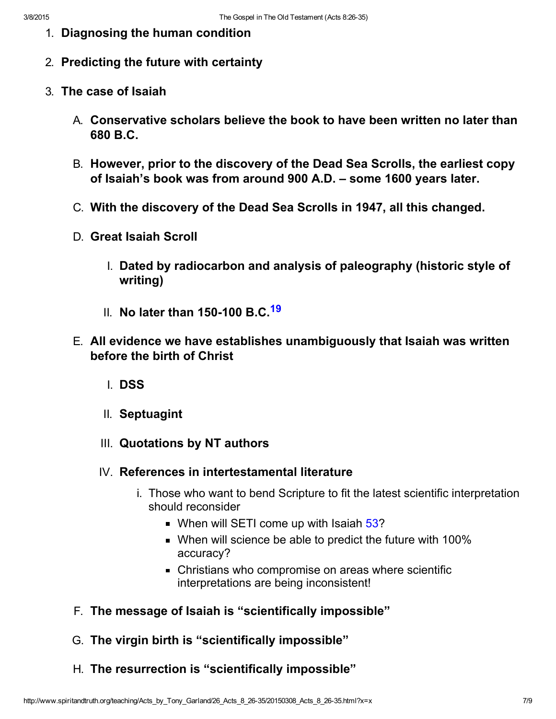- 1. Diagnosing the human condition
- 2. Predicting the future with certainty
- <span id="page-6-0"></span>3. The case of Isaiah
	- A. Conservative scholars believe the book to have been written no later than 680 B.C.
	- B. However, prior to the discovery of the Dead Sea Scrolls, the earliest copy of Isaiah's book was from around 900 A.D. – some 1600 years later.
	- C. With the discovery of the Dead Sea Scrolls in 1947, all this changed.
	- D. Great Isaiah Scroll
		- I. Dated by radiocarbon and analysis of paleography (historic style of writing)
		- II. No later than 150-100 B.C.<sup>[19](#page-7-17)</sup>
	- E. All evidence we have establishes unambiguously that Isaiah was written before the birth of Christ
		- I. DSS
		- II. Septuagint
		- III. Quotations by NT authors
		- IV. References in intertestamental literature
			- i. Those who want to bend Scripture to fit the latest scientific interpretation should reconsider
				- When will SETI come up with Isaiah [53](http://www.spiritandtruth.org/bibles/nasb/b23c053.htm#Isa._C53V1)?
				- When will science be able to predict the future with 100% accuracy?
				- Christians who compromise on areas where scientific interpretations are being inconsistent!
	- F. The message of Isaiah is "scientifically impossible"
	- G. The virgin birth is "scientifically impossible"
	- H. The resurrection is "scientifically impossible"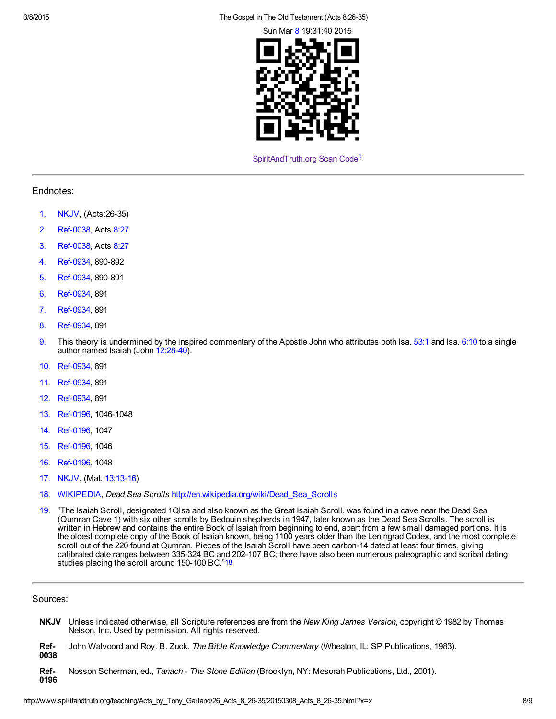3/8/2015 The Gospel in The Old Testament (Acts 8:2635)

Sun Mar [8](http://www.spiritandtruth.org/bibles/nasb/b41c008.htm#Mark_C8V1) 19:31:40 2015



<span id="page-7-20"></span>[SpiritAndTruth.org Scan Code](http://www.spiritandtruth.org/)<sup>[c](#page-8-2)</sup>

#### Endnotes:

- <span id="page-7-0"></span>[1.](#page-0-0) NKJV, (Acts: 26-35)
- <span id="page-7-1"></span>[2.](#page-1-0) Ref-0038, Acts [8:27](http://www.spiritandtruth.org/bibles/nasb/b44c008.htm#Acts_C8V27)
- <span id="page-7-2"></span>[3.](#page-1-1) Ref-0038, Acts [8:27](http://www.spiritandtruth.org/bibles/nasb/b44c008.htm#Acts_C8V27)
- <span id="page-7-6"></span>[4.](#page-4-1) Ref-0934, 890-892
- <span id="page-7-8"></span>[5.](#page-4-2) Ref-0934, 890-891
- <span id="page-7-4"></span>[6.](#page-4-0) Ref-0934, 891
- <span id="page-7-7"></span>[7.](#page-4-4) Ref-0934, 891
- <span id="page-7-3"></span>[8.](#page-4-3) Ref-0934, 891
- <span id="page-7-5"></span>[9.](#page-4-5) This theory is undermined by the inspired commentary of the Apostle John who attributes both Isa.  $53:1$  and Isa.  $6:10$  to a single author named Isaiah (John  $12:28-40$ ).
- <span id="page-7-12"></span>[10.](#page-5-0) Ref-0934, 891
- <span id="page-7-13"></span>[11.](#page-5-3) Ref-0934, 891
- <span id="page-7-14"></span>[12.](#page-5-7) Ref-0934, 891
- <span id="page-7-11"></span>[13.](#page-5-5) Ref-0196, 1046-1048
- <span id="page-7-15"></span>[14.](#page-5-6) Ref-0196, 1047
- <span id="page-7-9"></span>[15.](#page-5-2) Ref-0196, 1046
- <span id="page-7-16"></span>[16.](#page-5-1) Ref-0196, 1048
- <span id="page-7-10"></span>[17.](#page-5-4) NKJV, (Mat. 13:13-16)
- <span id="page-7-18"></span>[18.](#page-7-19) WIKIPEDIA, Dead Sea Scrolls [http://en.wikipedia.org/wiki/Dead\\_Sea\\_Scrolls](http://en.wikipedia.org/wiki/Dead_Sea_Scrolls)
- <span id="page-7-19"></span><span id="page-7-17"></span>[19.](#page-6-0) "The Isaiah Scroll, designated 1Qlsa and also known as the Great Isaiah Scroll, was found in a cave near the Dead Sea (Qumran Cave 1) with six other scrolls by Bedouin shepherds in 1947, later known as the Dead Sea Scrolls. The scroll is written in Hebrew and contains the entire Book of Isaiah from beginning to end, apart from a few small damaged portions. It is the oldest complete copy of the Book of Isaiah known, being 1100 years older than the Leningrad Codex, and the most complete scroll out of the 220 found at Qumran. Pieces of the Isaiah Scroll have been carbon-14 dated at least four times, giving calibrated date ranges between 335-324 BC and 202-107 BC; there have also been numerous paleographic and scribal dating studies placing the scroll around 150-100 BC."[18](#page-7-18)

#### Sources:

- **NKJV** Unless indicated otherwise, all Scripture references are from the New King James Version, copyright © 1982 by Thomas Nelson, Inc. Used by permission. All rights reserved.
- Ref-0038 John Walvoord and Roy. B. Zuck. The Bible Knowledge Commentary (Wheaton, IL: SP Publications, 1983).
- Ref-0196 Nosson Scherman, ed., Tanach - The Stone Edition (Brooklyn, NY: Mesorah Publications, Ltd., 2001).